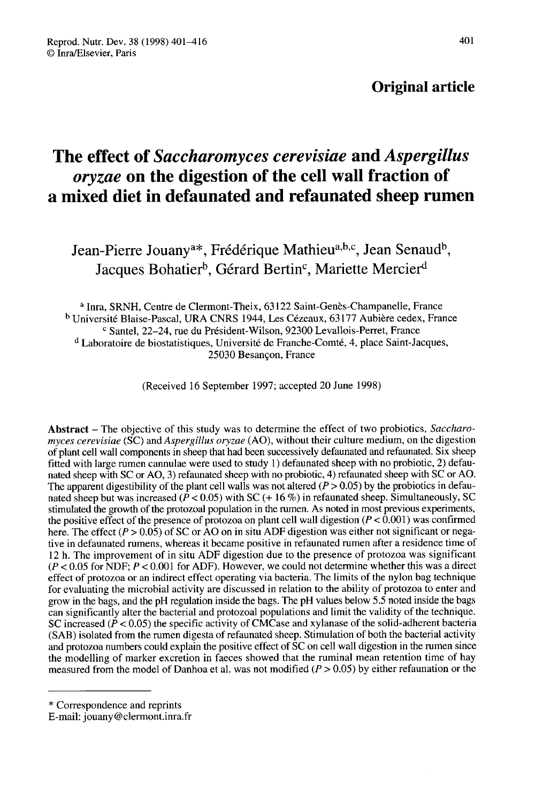# Original article

# The effect of Saccharomyces cerevisiae and Aspergillus oryzae on the digestion of the cell wall fraction of a mixed diet in defaunated and refaunated sheep rumen

ixed diet in defaunated and refaunated sheep ru 1-Pierre Jouany<sup>a\*</sup>, Frédérique Mathieu<sup>a,b,c</sup>, Jean Sena<br>Jacques Bohatier<sup>b</sup>, Gérard Bertin<sup>c</sup>, Mariette Mercier

<sup>a</sup> Inra, SRNH, Centre de Clermont-Theix, 63122 Saint-Genès-Champanelle, France <sup>b</sup> Université Blaise-Pascal, URA CNRS 1944, Les Cézeaux, 63177 Aubière cedex, France c Santel, 22-24, rue du Président-Wilson, 92300 Levallois-Perret, France <sup>d</sup> Laboratoire de biostatistiques, Université de Franche-Comté, 4, place Saint-Jacques, 25030 Besançon, France

(Received 16 September 1997; accepted 20 June 1998)

Abstract – The objective of this study was to determine the effect of two probiotics, Saccharomyces cerevisiae (SC) and Aspergillus oryzae (AO), without their culture medium, on the digestion of plant cell wall components in sheep that had been successively defaunated and refaunated. Six sheep fitted with large rumen cannulae were used to study 1) defaunated sheep with no probiotic, 2) defaunated sheep with SC or AO, 3) refaunated sheep with no probiotic, 4) refaunated sheep with SC or AO. The apparent digestibility of the plant cell walls was not altered ( $P > 0.05$ ) by the probiotics in defaunated sheep but was increased ( $\hat{P}$  < 0.05) with SC (+ 16 %) in refaunated sheep. Simultaneously, SC stimulated the growth of the protozoal population in the rumen. As noted in most previous experiments, the positive effect of the presence of protozoa on plant cell wall digestion ( $P < 0.001$ ) was confirmed here. The effect ( $P > 0.05$ ) of SC or AO on in situ ADF digestion was either not significant or negative in defaunated rumens, whereas it became positive in refaunated rumen after a residence time of 12 h. The improvement of in situ ADF digestion due to the presence of protozoa was significant  $(P < 0.05$  for NDF;  $P < 0.001$  for ADF). However, we could not determine whether this was a direct effect of protozoa or an indirect effect operating via bacteria. The limits of the nylon bag technique for evaluating the microbial activity are discussed in relation to the ability of protozoa to enter and grow in the bags, and the pH regulation inside the bags. The pH values below 5.5 noted inside the bags can significantly alter the bacterial and protozoal populations and limit the validity of the technique. SC increased ( $\dot{P}$  < 0.05) the specific activity of CMCase and xylanase of the solid-adherent bacteria (SAB) isolated from the rumen digesta of refaunated sheep. Stimulation of both the bacterial activity and protozoa numbers could explain the positive effect of SC on cell wall digestion in the rumen since the modelling of marker excretion in faeces showed that the ruminal mean retention time of hay measured from the model of Danhoa et al. was not modified  $(P > 0.05)$  by either refaunation or the

<sup>\*</sup> Correspondence and reprints

E-mail: jouany@clermont.inra.fr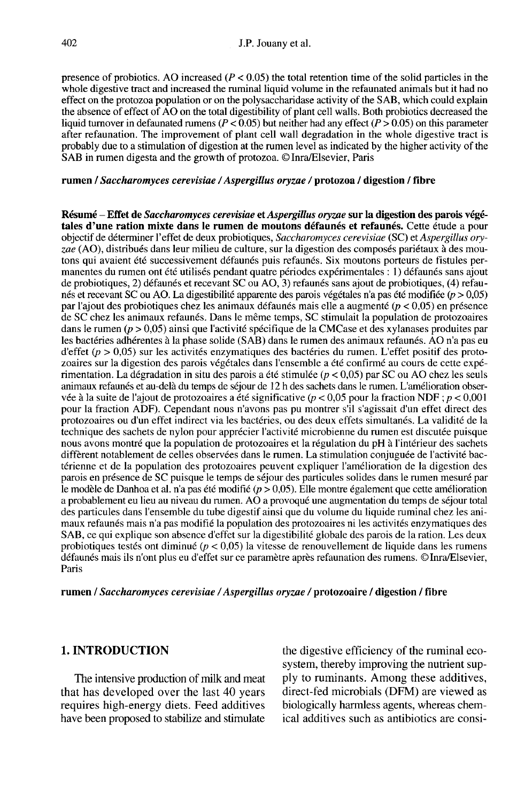presence of probiotics. AO increased ( $P < 0.05$ ) the total retention time of the solid particles in the whole digestive tract and increased the ruminal liquid volume in the refaunated animals but it had no effect on the protozoa population or on the polysaccharidase activity of the SAB, which could explain the absence of effect of AO on the total digestibility of plant cell walls. Both probiotics decreased the liquid turnover in defaunated rumens ( $P < 0.05$ ) but neither had any effect ( $P > 0.05$ ) on this parameter after refaunation. The improvement of plant cell wall degradation in the whole digestive tract is probably due to a stimulation of digestion at the rumen level as indicated by the higher activity of the SAB in rumen digesta and the growth of protozoa. © Inra/Elsevier, Paris

#### rumen / Saccharomyces cerevisiae / Aspergillus oryzae / protozoa / digestion / fibre

Résumé - Effet de Saccharomyces cerevisiae et Aspergillus oryzae sur la digestion des parois végétales d'une ration mixte dans le rumen de moutons défaunés et refaunés. Cette étude a pour objectif de déterminer l'effet de deux probiotiques, Saccharomyces cerevisiae (SC) et Aspergillus oryzae (AO), distribués dans leur milieu de culture, sur la digestion des composés pariétaux à des moutons qui avaient été successivement défaunés puis refaunés. Six moutons porteurs de fistules permanentes du rumen ont été utilisés pendant quatre périodes expérimentales : 1) défaunés sans ajout de probiotiques, 2) défaunés et recevant SC ou AO, 3) refaunés sans ajout de probiotiques, (4) refaunés et recevant SC ou AO. La digestibilité apparente des parois végétales n'a pas été modifiée (p > 0,05) par l'ajout des probiotiques chez les animaux défaunés mais elle a augmenté (p < 0,05) en présence de SC chez les animaux refaunés. Dans le même temps, SC stimulait la population de protozoaires dans le rumen (p > 0,05) ainsi que l'activité spécifique de la CMCase et des xylanases produites par les bactéries adhérentes à la phase solide (SAB) dans le rumen des animaux refaunés. AO n'a pas eu d'effet ( $p > 0.05$ ) sur les activités enzymatiques des bactéries du rumen. L'effet positif des protozoaires sur la digestion des parois végétales dans l'ensemble a été confirmé au cours de cette expérimentation. La dégradation in situ des parois a été stimulée ( $p < 0.05$ ) par SC ou AO chez les seuls animaux refaunés et au-delà du temps de séjour de 12 h des sachets dans le rumen. L'amélioration observée à la suite de l'ajout de protozoaires a été significative ( $p < 0.05$  pour la fraction NDF;  $p < 0.001$ pour la fraction ADF). Cependant nous n'avons pas pu montrer s'il s'agissait d'un effet direct des protozoaires ou d'un effet indirect via les bactéries, ou des deux effets simultanés. La validité de la technique des sachets de nylon pour apprécier l'activité microbienne du rumen est discutée puisque nous avons montré que la population de protozoaires et la régulation du pH à l'intérieur des sachets diffèrent notablement de celles observées dans le rumen. La stimulation conjuguée de l'activité bactérienne et de la population des protozoaires peuvent expliquer l'amélioration de la digestion des parois en présence de SC puisque le temps de séjour des particules solides dans le rumen mesuré par le modèle de Danhoa et al. n'a pas été modifié ( $p > 0.05$ ). Elle montre également que cette amélioration a probablement eu lieu au niveau du rumen. AO a provoqué une augmentation du temps de séjour total des particules dans l'ensemble du tube digestif ainsi que du volume du liquide ruminal chez les animaux refaunés mais n'a pas modifié la population des protozoaires ni les activités enzymatiques des SAB, ce qui explique son absence d'effet sur la digestibilité globale des parois de la ration. Les deux probiotiques testés ont diminué ( $p < 0.05$ ) la vitesse de renouvellement de liquide dans les rumens défaunés mais ils n'ont plus eu d'effet sur ce paramètre après refaunation des rumens. © Inra/Elsevier, Paris

rumen / Saccharomyces cerevisiae / Aspergillus oryzae / protozoaire / digestion / fibre

### 1. INTRODUCTION

The intensive production of milk and meat that has developed over the last 40 years requires high-energy diets. Feed additives have been proposed to stabilize and stimulate the digestive efficiency of the ruminal ecosystem, thereby improving the nutrient supply to ruminants. Among these additives, direct-fed microbials (DFM) are viewed as biologically harmless agents, whereas chemical additives such as antibiotics are consi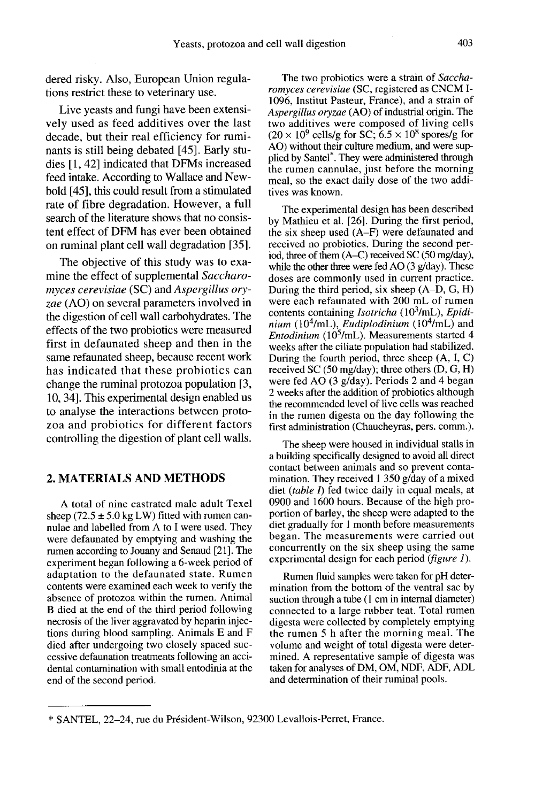dered risky. Also, European Union regulations restrict these to veterinary use.

Live yeasts and fungi have been extensively used as feed additives over the last decade, but their real efficiency for ruminants is still being debated [45]. Early studies [1, 42] indicated that DFMs increased feed intake. According to Wallace and Newbold [45], this could result from a stimulated rate of fibre degradation. However, a full search of the literature shows that no consistent effect of DFM has ever been obtained on ruminal plant cell wall degradation [35].

The objective of this study was to examine the effect of supplemental Saccharomyces cerevisiae (SC) and Aspergillus oryzae (AO) on several parameters involved in the digestion of cell wall carbohydrates. The effects of the two probiotics were measured first in defaunated sheep and then in the same refaunated sheep, because recent work has indicated that these probiotics can change the ruminal protozoa population [3, 10, 34]. This experimental design enabled us to analyse the interactions between proto zoa and probiotics for different factors controlling the digestion of plant cell walls.

# 2. MATERIALS AND METHODS

A total of nine castrated male adult Texel sheep (72.5  $\pm$  5.0 kg LW) fitted with rumen cannulae and labelled from A to I were used. They were defaunated by emptying and washing the rumen according to Jouany and Senaud [21]. The experiment began following a 6-week period of adaptation to the defaunated state. Rumen contents were examined each week to verify the absence of protozoa within the rumen. Animal B died at the end of the third period following necrosis of the liver aggravated by heparin injections during blood sampling. Animals E and F died after undergoing two closely spaced successive defaunation treatments following an accidental contamination with small entodinia at the end of the second period.

The two probiotics were a strain of Saccharomyces cerevisiae (SC, registered as CNCM I-1096, Institut Pasteur, France), and a strain of Aspergillus oryzae (AO) of industrial origin. The two additives were composed of living cells  $(20 \times 10^9 \text{ cells/g} \text{ for SC}; 6.5 \times 10^8 \text{ spores/g} \text{ for }$ AO) without their culture medium, and were suptwo additives were composed of living cells<br>  $(20 \times 10^9 \text{ cells/g} \text{ for SC}; 6.5 \times 10^8 \text{ spores/g} \text{ for }$ <br>
AO) without their culture medium, and were sup-<br>
plied by Santel<sup>\*</sup>. They were administered through<br>
the rumen cannulae, just b the rumen cannulae, just before the morning meal, so the exact daily dose of the two additives was known.

The experimental design has been described by Mathieu et al. [26]. During the first period, the six sheep used (A-F) were defaunated and received no probiotics. During the second period, three of them (A-C) received SC (50 mg/day), while the other three were fed AO (3 g/day). These<br>doses are commonly used in current practice.<br>During the third period, six sheep (A–D, G, H)<br>were each refaunated with 200 mL of rumen<br>contents containing *Isotricha* (10<sup></sup> doses are commonly used in current practice.<br>During the third period, six sheep (A–D, G, H) were each refaunated with 200 mL of rumen doses are commonly used in current practice.<br>During the third period, six sheep (A–D, G, H)<br>were each refaunated with 200 mL of rumen<br>contents containing *Isotricha* (10<sup>3</sup>/mL), *Epidi-*<br>nium (10<sup>4</sup>/mL), *Eudiplodinium* ( During the third period, six sheep (A–D, G, H)<br>were each refaunated with 200 mL of rumen<br>contents containing *Isotricha* (10<sup>3</sup>/mL), *Epidi-*<br>nium (10<sup>4</sup>/mL), *Eudiplodinium* (10<sup>4</sup>/mL) and<br>*Entodinium* (10<sup>5</sup>/mL). Measur weeks after the ciliate population had stabilized. During the fourth period, three sheep  $(A, I, C)$ <br>received SC (50 mg/day); three others  $(D, G, H)$ were fed AO (3 g/day). Periods 2 and 4 began 2 weeks after the addition of probiotics although the recommended level of live cells was reached in the rumen digesta on the day following the first administration (Chaucheyras, pers. comm.).

The sheep were housed in individual stalls in a building specifically designed to avoid all direct contact between animals and so prevent contamination. They received 1 350 g/day of a mixed diet (table  $I$ ) fed twice daily in equal meals, at 0900 and 1600 hours. Because of the high proportion of barley, the sheep were adapted to the diet gradually for 1 month before measurements began. The measurements were carried out concurrently on the six sheep using the same experimental design for each period  $(figure I)$ .

Rumen fluid samples were taken for pH determination from the bottom of the ventral sac by suction through a tube  $(1 \text{ cm in internal diameter})$ connected to a large rubber teat. Total rumen digesta were collected by completely emptying the rumen 5 h after the morning meal. The volume and weight of total digesta were determined. A representative sample of digesta was taken for analyses of DM, OM, NDF, ADF, ADL and determination of their ruminal pools.

<sup>\*</sup> SANTEL, 22-24, rue du Pr6sident-Wilson, 92300 Levallois-Perret, France.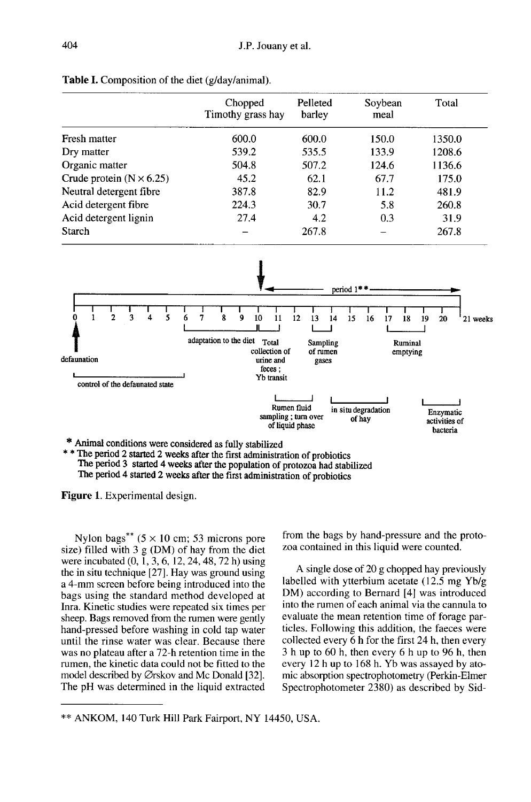|                                 | Chopped<br>Timothy grass hay | Pelleted<br>barley | Soybean<br>meal | Total  |
|---------------------------------|------------------------------|--------------------|-----------------|--------|
| Fresh matter                    | 600.0                        | 600.0              | 150.0           | 1350.0 |
| Dry matter                      | 539.2                        | 535.5              | 133.9           | 1208.6 |
| Organic matter                  | 504.8                        | 507.2              | 124.6           | 1136.6 |
| Crude protein $(N \times 6.25)$ | 45.2                         | 62.1               | 67.7            | 175.0  |
| Neutral detergent fibre         | 387.8                        | 82.9               | 11.2            | 481.9  |
| Acid detergent fibre            | 224.3                        | 30.7               | 5.8             | 260.8  |
| Acid detergent lignin           | 27.4                         | 4.2                | 0.3             | 31.9   |
| Starch                          |                              | 267.8              |                 | 267.8  |





The period 2 started 2 weeks after the first administration of probiotics The period 3 started 4 weeks after the population of protozoa had stabilized The period 4 started 2 weeks after the first administration of probiotics

Figure 1. Experimental design.

Nylon bags<sup>\*\*</sup>  $(5 \times 10 \text{ cm}; 53 \text{ microns})$ size) filled with  $3 g (DM)$  of hay from the diet were incubated  $(0, \tilde{1}, 3, 6, 12, 24, 48, 72 h)$  using the in situ technique [27]. Hay was ground using a 4-mm screen before being introduced into the bags using the standard method developed at Inra. Kinetic studies were repeated six times per sheep. Bags removed from the rumen were gently hand-pressed before washing in cold tap water until the rinse water was clear. Because there was no plateau after a 72-h retention time in the rumen, the kinetic data could not be fitted to the model described by  $\oslash$ rskov and Mc Donald [32]. The pH was determined in the liquid extracted

from the bags by hand-pressure and the proto zoa contained in this liquid were counted.

A single dose of 20 g chopped hay previously labelled with ytterbium acetate (12.5 mg Yb/g DM) according to Bernard [4] was introduced into the rumen of each animal via the cannula to evaluate the mean retention time of forage particles. Following this addition, the faeces were collected every 6 h for the first 24 h, then every 3 h up to 60 h, then every 6 h up to 96 h, then every 12 h up to 168 h. Yb was assayed by atomic absorption spectrophotometry (Perkin-Elmer Spectrophotometer 2380) as described by Sid-

<sup>\*\*</sup> ANKOM, 140 Turk Hill Park Fairport, NY 14450, USA.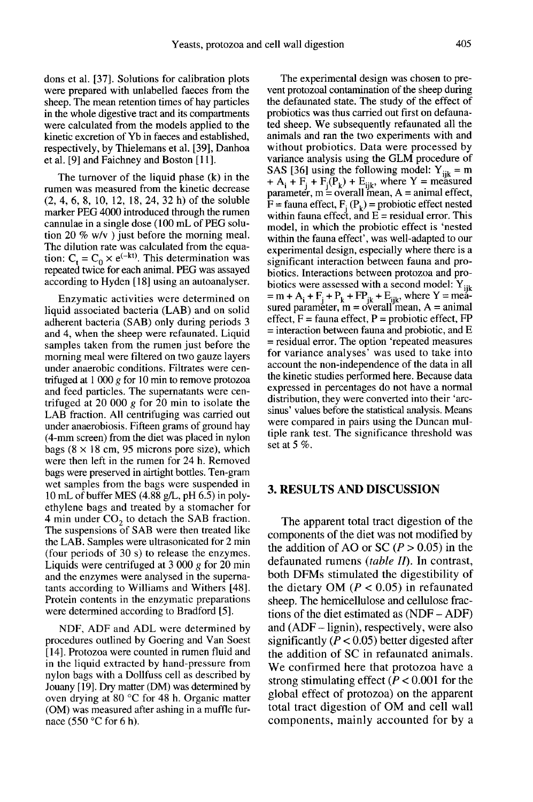dons et al. [37]. Solutions for calibration plots were prepared with unlabelled faeces from the sheep. The mean retention times of hay particles in the whole digestive tract and its compartments were calculated from the models applied to the kinetic excretion of Yb in faeces and established, respectively, by Thielemans et al. [39], Danhoa et al. [9] and Faichney and Boston [11].

The turnover of the liquid phase (k) in the rumen was measured from the kinetic decrease (2, 4, 6, 8, 10, 12, 18, 24, 32 h) of the soluble marker PEG 4000 introduced through the rumen cannulae in a single dose (100 mL of PEG solution 20  $\%$  w/v ) just before the morning meal. The dilution rate was calculated from the equa-The diffusion rate was calculated from the equation:  $C_t = C_0 \times e^{(-kt)}$ . This determination was repeated twice for each animal. PEG was assayed according to Hyden [18] using an autoanalyser.

Enzymatic activities were determined on liquid associated bacteria (LAB) and on solid adherent bacteria (SAB) only during periods 3 and 4, when the sheep were refaunated. Liquid samples taken from the rumen just before the morning meal were filtered on two gauze layers under anaerobic conditions. Filtrates were centrifuged at  $1000 g$  for 10 min to remove protozoa and feed particles. The supernatants were centrifuged at 20 000 g for 20 min to isolate the LAB fraction. All centrifuging was carried out under anaerobiosis. Fifteen grams of ground hay (4-mm screen) from the diet was placed in nylon bags  $(8 \times 18$  cm, 95 microns pore size), which were then left in the rumen for 24 h. Removed bags were preserved in airtight bottles. Ten-gram wet samples from the bags were suspended in 10 mL of buffer MES (4.88 g/L, pH 6.5) in polyethylene bags and treated by a stomacher for 4 min under  $CO<sub>2</sub>$  to detach the SAB fraction. The suspensions of SAB were then treated like the LAB. Samples were ultrasonicated for 2 min (four periods of 30 s) to release the enzymes. Liquids were centrifuged at 3 000 g for 20 min and the enzymes were analysed in the superna tants according to Williams and Withers [48]. Protein contents in the enzymatic preparations were determined according to Bradford [5].

NDF, ADF and ADL were determined by procedures outlined by Goering and Van Soest [14]. Protozoa were counted in rumen fluid and in the liquid extracted by hand-pressure from nylon bags with a Dollfuss cell as described by Jouany [19]. Dry matter (DM) was determined by oven drying at 80 °C for 48 h. Organic matter (OM) was measured after ashing in a muffle furnace (550 °C for 6 h).

The experimental design was chosen to prevent protozoal contamination of the sheep during the defaunated state. The study of the effect of probiotics was thus carried out first on defaunated sheep. We subsequently refaunated all the animals and ran the two experiments with and without probiotics. Data were processed by variance analysis using the GLM procedure of SAS [36] using the following model:  $Y_{iik} = m$ variance analysis using the GLM procedure of<br>SAS [36] using the following model:  $Y_{ijk} = m + A_i + F_j + F_j(P_k) + E_{ijk}$ , where Y = measured<br>parameter, m = overall mean, A = animal effect, parameter, m = overall mean, A = animal effect,<br>F = fauna effect,  $F_1(P_k)$  = probiotic effect nested<br>within fauna effect, and E – residual error. This within fauna effect, and  $E =$  residual error. This model, in which the probiotic effect is 'nested within the fauna effect', was well-adapted to our experimental design, especially where there is a significant interaction between fauna and probiotics. Interactions between protozoa and probiotics were assessed with a second model:  $Y_{ijk}$  $=$  m + A<sub>i</sub> + F<sub>j</sub> + P<sub>k</sub> + FP<sub>jk</sub> + E<sub>ijk</sub>, where Y = mea-<br>sured parameter, m = overall mean, A = animal effect,  $F = \text{fauna effect}$ ,  $P = \text{probiotic effect}$ . FP  $=$  interaction between fauna and probiotic, and E = residual error. The option 'repeated measures for variance analyses' was used to take into account the non-independence of the data in all the kinetic studies performed here. Because data expressed in percentages do not have a normal distribution, they were converted into their 'arcsinus' values before the statistical analysis. Means were compared in pairs using the Duncan multiple rank test. The significance threshold was set at  $5\%$ .

### 3. RESULTS AND DISCUSSION

The apparent total tract digestion of the components of the diet was not modified by the addition of AO or SC ( $P > 0.05$ ) in the defaunated rumens  $(table II)$ . In contrast, both DFMs stimulated the digestibility of the dietary OM ( $P < 0.05$ ) in refaunated sheep. The hemicellulose and cellulose fractions of the diet estimated as (NDF - ADF) and (ADF - lignin), respectively, were also significantly ( $P < 0.05$ ) better digested after the addition of SC in refaunated animals. We confirmed here that protozoa have a strong stimulating effect ( $P < 0.001$  for the global effect of protozoa) on the apparent total tract digestion of OM and cell wall components, mainly accounted for by a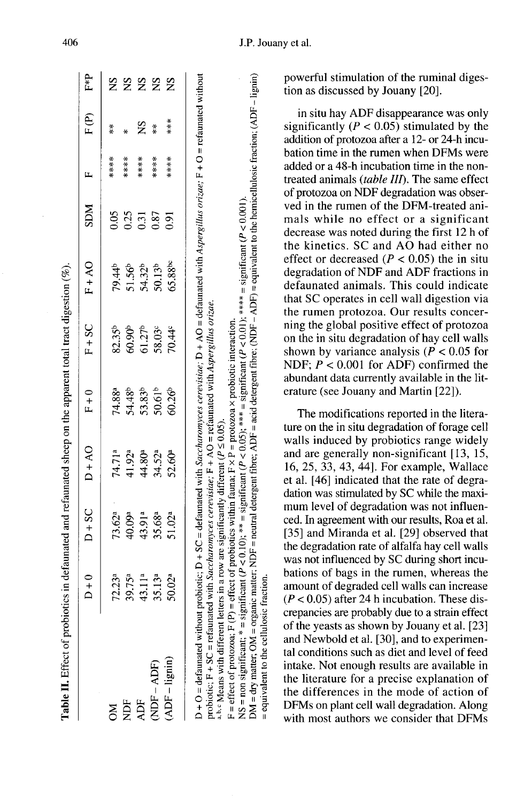|                                   | $D + 0$            | $D+SC$                                             | $D+AO$             | $F + 0$                                                                  | $F + SC$                                                       | $FA+CO$                                                     | <b>NCS</b>       | Щ     | F(P)              | F*P |
|-----------------------------------|--------------------|----------------------------------------------------|--------------------|--------------------------------------------------------------------------|----------------------------------------------------------------|-------------------------------------------------------------|------------------|-------|-------------------|-----|
| MÕ                                | 72.23 <sup>a</sup> |                                                    | 74.71ª             |                                                                          |                                                                |                                                             | 0.05             | ****  | $\stackrel{*}{*}$ | Š   |
| È                                 | 39.75 <sup>a</sup> |                                                    | 41.92 <sup>a</sup> |                                                                          |                                                                |                                                             |                  | ****  |                   | SN  |
| ADF                               | 43.11ª             | $73.62$ <sup>a</sup><br>40.09ª<br>43.08ª<br>55.02ª |                    | 74.88ª<br>54.48 <sup>b</sup><br>53.82 <sup>b</sup><br>50.61 <sup>b</sup> | 82.35 <sup>b</sup><br>60.90 <sup>b</sup><br>58.03 <sup>c</sup> | $79.44^{\circ}$<br>51.56 <sup>6</sup><br>50.13 <sup>b</sup> | $0.35$<br>$0.37$ | ****  | $\mathbf{S}$      | SN  |
| $(MDF - ADF)$<br>$(ADF - Iignin)$ | 35.13ª             |                                                    | 44.80ª<br>34.52ª   |                                                                          |                                                                |                                                             |                  | ****  | $\frac{*}{*}$     | 2S  |
|                                   | 50.02ª             |                                                    | 52.60ª             | $50.26^{b}$                                                              | $70.44^{\circ}$                                                | 65.88bc                                                     | 0.91             | ***** | ***               |     |

probiotic;  $F + SC =$  refaunated with Saccharomyces cerevisiae;  $F + AO =$  refaunated with Aspergillus orizae. <sup>a, b, c</sup> Means with different letters in a row are significantly different ( $P \le 0.05$ ).

 $DM = dry$  matter;  $OM = \text{organic matter}$ ;  $NDF = \text{neutral decrease}$  fibre;  $ADF = \text{acid decrease}$  fibre;  $(NDF - ADF) = \text{equivalent to the hemicellulosis (ractori,  $(ADF - \text{ligmin})$$ NS = non significant; \* = significant ( $P < 0.10$ ); \*\* = significant ( $P < 0.05$ ); \*\*\* = significant ( $P < 0.01$ ); \*\*\* = significant ( $P < 0.001$ ) F = effect of protozoa; F (P) = effect of probiotics within fauna; F  $\times$  P = protozoa  $\times$  probiotic interaction.

= equivalent to the cellulosic fraction.

powerful stimulation of the ruminal digestion as discussed by Jouany [20].

in situ hay ADF disappearance was only significantly ( $P < 0.05$ ) stimulated by the addition of protozoa after a 12- or 24-h incubation time in the rumen when DFMs were added or a 48-h incubation time in the nontreated animals (table III). The same effect of protozoa on NDF degradation was observed in the rumen of the DFM-treated animals while no effect or a significant decrease was noted during the first 12 h of the kinetics. SC and AO had either no effect or decreased ( $P < 0.05$ ) the in situ degradation of NDF and ADF fractions in defaunated animals. This could indicate that SC operates in cell wall digestion via the rumen protozoa. Our results concerning the global positive effect of protozoa on the in situ degradation of hay cell walls shown by variance analysis ( $P < 0.05$  for NDF;  $P < 0.001$  for ADF) confirmed the abundant data currently available in the literature (see Jouany and Martin [22]).

The modifications reported in the literature on the in situ degradation of forage cell walls induced by probiotics range widely and are generally non-significant [13, 15, 16, 25, 33, 43, 44]. For example, Wallace et al. [46] indicated that the rate of degradation was stimulated by SC while the maximum level of degradation was not influenced. In agreement with our results, Roa et al. [35] and Miranda et al. [29] observed that the degradation rate of alfalfa hay cell walls was not influenced by SC during short incubations of bags in the rumen, whereas the amount of degraded cell walls can increase  $(P < 0.05)$  after 24 h incubation. These discrepancies are probably due to a strain effect of the yeasts as shown by Jouany et al. [23] and Newbold et al. [30], and to experimental conditions such as diet and level of feed intake. Not enough results are available in the literature for a precise explanation of the differences in the mode of action of DFMs on plant cell wall degradation. Along with most authors we consider that DFMs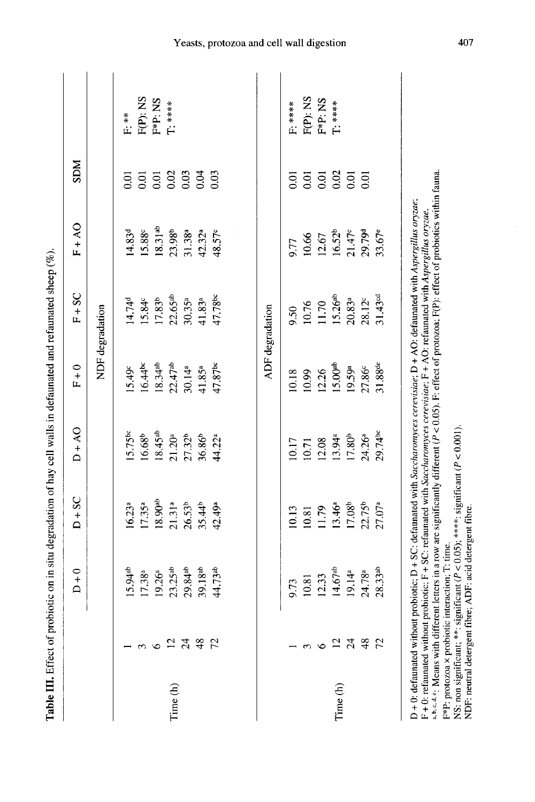|          |            |                                                          |                                                                                         | Table III. Effect of probiotic on in situ degradation of hay cell walls in defaunated and refaunated sheep (%).                                                                                                                                                                                                                                                                                                                      |                       |                       |                     |                            |          |
|----------|------------|----------------------------------------------------------|-----------------------------------------------------------------------------------------|--------------------------------------------------------------------------------------------------------------------------------------------------------------------------------------------------------------------------------------------------------------------------------------------------------------------------------------------------------------------------------------------------------------------------------------|-----------------------|-----------------------|---------------------|----------------------------|----------|
|          |            | $D + 0$                                                  | $D + SC$                                                                                | $DA + O$                                                                                                                                                                                                                                                                                                                                                                                                                             | $F + 0$               | $F + SC$              | $FA + O$            | <b>NGS</b>                 |          |
|          |            |                                                          |                                                                                         |                                                                                                                                                                                                                                                                                                                                                                                                                                      |                       | NDF degradation       |                     |                            |          |
|          |            | $15.94^{ab}$                                             | 16.23 <sup>a</sup>                                                                      | 15.75bc                                                                                                                                                                                                                                                                                                                                                                                                                              | 5.49c                 | 14.74 <sup>d</sup>    | 14.83 <sup>d</sup>  | 0.01                       | F.**     |
|          | $\epsilon$ | $17.38^{a}$                                              | $17.35^{a}$                                                                             | 16.68 <sup>b</sup>                                                                                                                                                                                                                                                                                                                                                                                                                   | $16.44$ <sub>pc</sub> | 15.84c                | 15.88c              | 0.01                       | F(P): NS |
|          | $\circ$    | 19.26ª                                                   | $18.90^{ab}$                                                                            | $18.45^{ab}$                                                                                                                                                                                                                                                                                                                                                                                                                         | $18.34^{ab}$          | 17.83 <sup>b</sup>    | $18.31^{ab}$        | $\overline{0.01}$          | F*P: NS  |
| Time (h) |            | $23.25^{ab}$                                             | $21.31^{a}$                                                                             | $21.20^a$                                                                                                                                                                                                                                                                                                                                                                                                                            | $22.47^{ab}$          | $22.65$ <sup>ab</sup> | 23.98 <sup>b</sup>  |                            | $T:****$ |
|          | 2792       | $29.84^{ab}$                                             | $26.53^{b}$                                                                             | $27.32^{b}$                                                                                                                                                                                                                                                                                                                                                                                                                          | 30.14ª                | $30.35^{a}$           | 31.38ª              | 8<br>8<br>8<br>8<br>8<br>8 |          |
|          |            | 39.18 <sup>ab</sup>                                      | 35.44 <sup>b</sup>                                                                      | 36.86 <sup>b</sup>                                                                                                                                                                                                                                                                                                                                                                                                                   | $41.85^{a}$           | $41.83^{a}$           | 42.32 <sup>a</sup>  |                            |          |
|          |            | 44.73ab                                                  | 42.49ª                                                                                  | 44.22ª                                                                                                                                                                                                                                                                                                                                                                                                                               | 47.87bc               | 47.78 <sup>bc</sup>   | 48.57 <sup>c</sup>  | 0.03                       |          |
|          |            |                                                          |                                                                                         |                                                                                                                                                                                                                                                                                                                                                                                                                                      |                       | ADF degradation       |                     |                            |          |
|          |            | 9.73                                                     | 10.13                                                                                   | 10.17                                                                                                                                                                                                                                                                                                                                                                                                                                | 10.18                 | 9.50                  | 9.77                | $\overline{0}$             | F: ****  |
|          | ω          | 10.81                                                    | 10.81                                                                                   | 10.71                                                                                                                                                                                                                                                                                                                                                                                                                                | 10.99                 | 10.76                 | 10.66               | 0.01                       | F(P): NS |
|          |            | 12.33                                                    | 11.79                                                                                   | 12.08                                                                                                                                                                                                                                                                                                                                                                                                                                | 12.26                 | 11.70                 | 12.67               | $\overline{0.01}$          | F*P: NS  |
| Time (h) |            | $14.67^{ab}$                                             | $13.46^a$                                                                               | 13.94ª                                                                                                                                                                                                                                                                                                                                                                                                                               | 15.00 <sup>ab</sup>   | 15.26 <sup>ab</sup>   |                     | 0.02                       | T: ***** |
|          |            | 19.14 <sup>a</sup>                                       | 17.08 <sup>b</sup>                                                                      | 17.80 <sup>b</sup>                                                                                                                                                                                                                                                                                                                                                                                                                   | 19.59ª                | $20.83^{a}$           | $16.52^b$<br>21.47c | $\overline{0}$ .           |          |
|          | 623487     | 24.78ª                                                   | 22.75 <sup>b</sup>                                                                      | 24.26ª                                                                                                                                                                                                                                                                                                                                                                                                                               | $27.86^{\circ}$       | $28.12^{\circ}$       | 29.79d              | $\overline{5}$             |          |
|          |            | $28.33$ <sup>ab</sup>                                    | $27.07^a$                                                                               | 29.74 <sup>bc</sup>                                                                                                                                                                                                                                                                                                                                                                                                                  | 31.88 <sup>de</sup>   | 31.43 <sup>od</sup>   | 33.67e              |                            |          |
|          |            | F*P: protozoa × probiotic interaction; T: time.          |                                                                                         | a,b,c,d,e; Means with different letters in a row are significantly different (P < 0.05). F: effect of protozoa; F(P): effect of probiotics within fauna.<br>D + 0: defaunated without probiotic; D + SC: defaunated with Saccharomyces cerevisiae; D + AO: defaunated with Aspergillus oryzae;<br>F + 0: refaunated without probiotic; F + SC: refaunated with Saccharomyces cerevisiae; F + AO: refaunated with Aspergillus oryzae. |                       |                       |                     |                            |          |
|          |            | NDF: neutral detergent fibre; ADF: acid detergent fibre. | NS: non significant; **: significant ( $P < 0.05$ ); ****: significant ( $P < 0.001$ ). |                                                                                                                                                                                                                                                                                                                                                                                                                                      |                       |                       |                     |                            |          |

407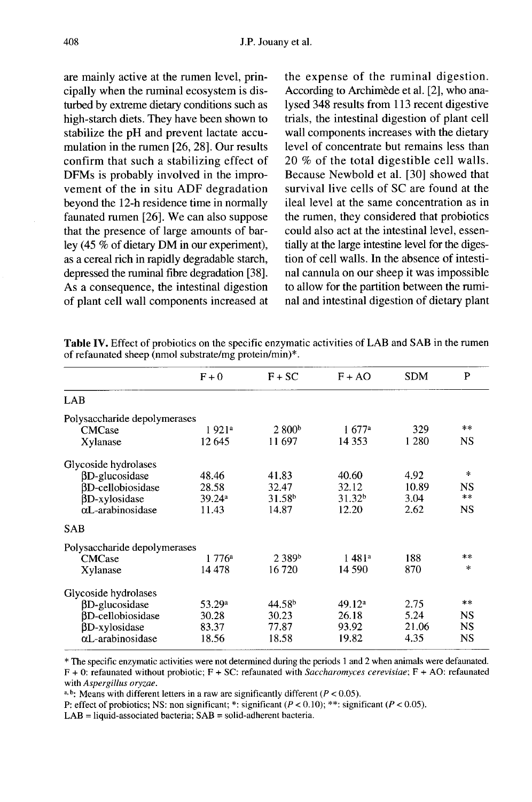are mainly active at the rumen level, principally when the ruminal ecosystem is disturbed by extreme dietary conditions such as high-starch diets. They have been shown to stabilize the pH and prevent lactate accumulation in the rumen [26, 28]. Our results confirm that such a stabilizing effect of DFMs is probably involved in the improvement of the in situ ADF degradation beyond the 12-h residence time in normally faunated rumen [26]. We can also suppose that the presence of large amounts of barley (45 % of dietary DM in our experiment), as a cereal rich in rapidly degradable starch, depressed the ruminal fibre degradation [38]. As a consequence, the intestinal digestion of plant cell wall components increased at the expense of the ruminal digestion. According to Archimède et al. [2], who analysed 348 results from 113 recent digestive trials, the intestinal digestion of plant cell wall components increases with the dietary level of concentrate but remains less than 20 % of the total digestible cell walls. Because Newbold et al. [30] showed that survival live cells of SC are found at the ileal level at the same concentration as in the rumen, they considered that probiotics could also act at the intestinal level, essentially at the large intestine level for the digestion of cell walls. In the absence of intestinal cannula on our sheep it was impossible to allow for the partition between the ruminal and intestinal digestion of dietary plant

Table IV. Effect of probiotics on the specific enzymatic activities of LAB and SAB in the rumen of refaunated sheep (nmol substrate/mg protein/min)\*.

| $F + 0$                      | $F + SC$                     | $F + AO$           | <b>SDM</b> | P             |
|------------------------------|------------------------------|--------------------|------------|---------------|
|                              |                              |                    |            |               |
| Polysaccharide depolymerases |                              |                    |            |               |
| 1 921 <sup>a</sup>           | 2800 <sup>b</sup>            | 1.677a             | 329        | $\ast$ $\ast$ |
| 12 645                       | 11 697                       | 14 3 5 3           | 1 2 8 0    | NS            |
|                              |                              |                    |            |               |
| 48.46                        | 41.83                        | 40.60              | 4.92       | $\star$       |
| 28.58                        | 32.47                        | 32.12              | 10.89      | NS            |
| 39.24a                       | 31.58 <sup>b</sup>           | 31.32 <sup>b</sup> | 3.04       | $**$          |
| 11.43                        | 14.87                        | 12.20              | 2.62       | NS            |
|                              |                              |                    |            |               |
|                              |                              |                    |            |               |
| $1776^a$                     | 2.389 <sup>b</sup>           | 1481 <sup>a</sup>  | 188        | **            |
| 14 478                       | 16720                        | 14 590             | 870        | $\mathbf{r}$  |
|                              |                              |                    |            |               |
| 53.29 <sup>a</sup>           | 44.58 <sup>b</sup>           | 49.12 <sup>a</sup> | 2.75       | $**$          |
| 30.28                        | 30.23                        | 26.18              | 5.24       | NS            |
| 83.37                        | 77.87                        | 93.92              | 21.06      | <b>NS</b>     |
| 18.56                        | 18.58                        | 19.82              | 4.35       | <b>NS</b>     |
|                              | Polysaccharide depolymerases |                    |            |               |

\* The specific enzymatic activities were not determined during the periods 1 and 2 when animals were defaunated.  $F + 0$ : refaunated without probiotic;  $F + SC$ : refaunated with *Saccharomyces cerevisiae*;  $F + AO$ : refaunated with Aspergillus oryzae.

a, b. Means with different letters in a raw are significantly different ( $P < 0.05$ ).

P: effect of probiotics; NS: non significant; \*: significant ( $P < 0.10$ ); \*\*: significant ( $P < 0.05$ ).

 $LAB = liquid$ -associated bacteria;  $SAB = solid$ -adherent bacteria.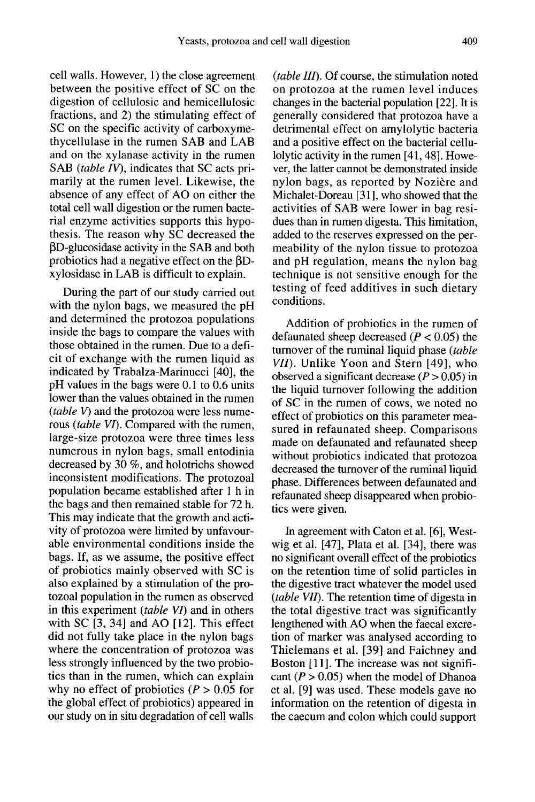cell walls. However, 1) the close agreement between the positive effect of SC on the digestion of cellulosic and hemicellulosic fractions, and 2) the stimulating effect of SC on the specific activity of carboxymethycellulase in the rumen SAB and LAB and on the xylanase activity in the rumen SAB (table IV), indicates that SC acts primarily at the rumen level. Likewise, the absence of any effect of AO on either the total cell wall digestion or the rumen bacterial enzyme activities supports this hypothesis. The reason why SC decreased the  $\beta$ D-glucosidase activity in the SAB and both probiotics had a negative effect on the  $\beta$ Dxylosidase in LAB is difficult to explain.

During the part of our study carried out with the nylon bags, we measured the pH and determined the protozoa populations inside the bags to compare the values with those obtained in the rumen. Due to a deficit of exchange with the rumen liquid as indicated by Trabalza-Marinucci [40], the pH values in the bags were 0.1 to 0.6 units lower than the values obtained in the rumen  $(table V)$  and the protozoa were less numerous (table VI). Compared with the rumen, large-size protozoa were three times less numerous in nylon bags, small entodinia decreased by 30 %, and holotrichs showed inconsistent modifications. The protozoal population became established after 1 h in the bags and then remained stable for 72 h. This may indicate that the growth and activity of protozoa were limited by unfavourable environmental conditions inside the bags. If, as we assume, the positive effect of probiotics mainly observed with SC is also explained by a stimulation of the protozoal population in the rumen as observed in this experiment (table VI) and in others with SC [3, 34] and AO [12]. This effect did not fully take place in the nylon bags where the concentration of protozoa was less strongly influenced by the two probiotics than in the rumen, which can explain why no effect of probiotics ( $P > 0.05$  for the global effect of probiotics) appeared in our study on in situ degradation of cell walls

(table III). Of course, the stimulation noted on protozoa at the rumen level induces changes in the bacterial population [22]. It is generally considered that protozoa have a detrimental effect on amylolytic bacteria and a positive effect on the bacterial cellulolytic activity in the rumen [41, 48]. However, the latter cannot be demonstrated inside nylon bags, as reported by Nozière and Michalet-Doreau [31], who showed that the activities of SAB were lower in bag residues than in rumen digesta. This limitation, added to the reserves expressed on the permeability of the nylon tissue to protozoa and pH regulation, means the nylon bag technique is not sensitive enough for the testing of feed additives in such dietary conditions.

Addition of probiotics in the rumen of defaunated sheep decreased ( $P < 0.05$ ) the turnover of the ruminal liquid phase (table VII). Unlike Yoon and Stern [49], who observed a significant decrease  $(P > 0.05)$  in the liquid turnover following the addition of SC in the rumen of cows, we noted no effect of probiotics on this parameter measured in refaunated sheep. Comparisons made on defaunated and refaunated sheep without probiotics indicated that protozoa decreased the turnover of the ruminal liquid phase. Differences between defaunated and refaunated sheep disappeared when probiotics were given.

In agreement with Caton et al. [6], Westwig et al. [47], Plata et al. [34], there was no significant overall effect of the probiotics on the retention time of solid particles in the digestive tract whatever the model used (table VII). The retention time of digesta in the total digestive tract was significantly lengthened with AO when the faecal excretion of marker was analysed according to Thielemans et al. [39] and Faichney and Boston [11]. The increase was not signifi cant ( $P > 0.05$ ) when the model of Dhanoa et al. [9] was used. These models gave no information on the retention of digesta in the caecum and colon which could support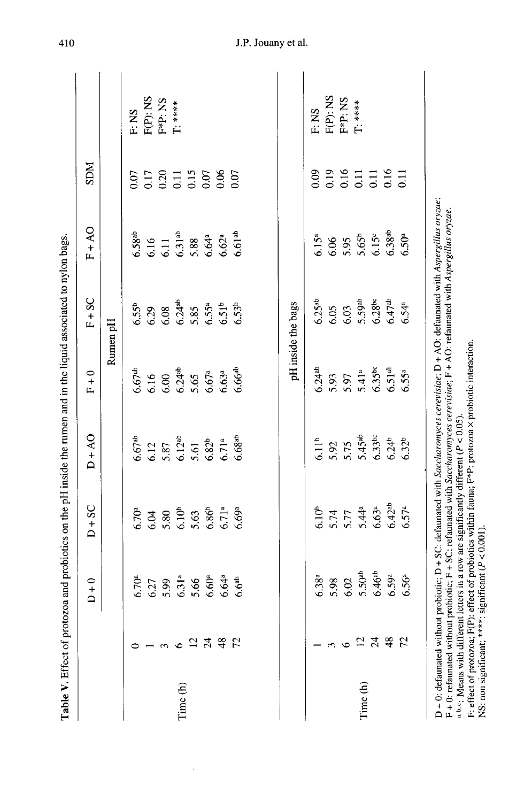|          |                       | $\circ$<br>$\Box$<br>I                       | SC<br>$\ddot{}$<br>≏ | $0V +$<br>≏                                 | $\circ$<br>$\mathbf{L}$                                         | SC                                           | 4 A                                           | <b>NGS</b>                                                                                   |             |
|----------|-----------------------|----------------------------------------------|----------------------|---------------------------------------------|-----------------------------------------------------------------|----------------------------------------------|-----------------------------------------------|----------------------------------------------------------------------------------------------|-------------|
|          |                       |                                              |                      |                                             |                                                                 | Rumen pH                                     |                                               |                                                                                              |             |
|          |                       | 6.70 <sup>a</sup>                            | 6.70 <sup>a</sup>    | $6.67$ <sup>ab</sup>                        | $6.67$ <sup>ab</sup>                                            | 6.55 <sup>b</sup>                            | 6.58 <sup>ab</sup>                            | 0.07                                                                                         | F: NS       |
|          |                       | 6.27                                         | 6.04                 | 6.12                                        | 6.16                                                            | 6.29                                         | 6.16                                          | $\begin{array}{c} 17 \\ 0.20 \\ 0.11 \\ 0.05 \\ 0.05 \\ 0.07 \\ 0.00 \\ 0.00 \\ \end{array}$ | F(P): NS    |
|          | $\tilde{\phantom{a}}$ |                                              | 5.80                 |                                             |                                                                 |                                              |                                               |                                                                                              | F*P: NS     |
| Time (h) | $\circ$               | $5.99$<br>$6.31a$                            | 6.10 <sup>b</sup>    | $5.87$<br>$6.12^{ab}$<br>$5.61$<br>$6.82^b$ | $6.00$<br>$6.24$ <sup>ab</sup>                                  | $6.08$<br>$6.24^{ab}$                        | $6.11$<br>$6.31^{ab}$<br>$5.88$<br>$6.64^{a}$ |                                                                                              | $T:***$     |
|          | $\overline{12}$       | 5.66                                         | 5.63                 |                                             | 5.65                                                            | 5.85                                         |                                               |                                                                                              |             |
|          | $\mathfrak{z}_4$      | 6.60a                                        | $6.86^{b}$           |                                             | 6.67 <sup>a</sup>                                               |                                              |                                               |                                                                                              |             |
|          | $48$ $72$             | 6.64ª                                        | 6.71 <sup>a</sup>    | 6.71 <sup>a</sup>                           | 6.63 <sup>a</sup>                                               | $6.55^a$<br>$6.51^b$<br>$6.53^b$             | $6.62a$<br>$6.61ab$                           |                                                                                              |             |
|          |                       | 6.6 <sup>ab</sup>                            | 6.69a                | 6.68 <sup>ab</sup>                          | 6.66 <sup>ab</sup>                                              |                                              |                                               |                                                                                              |             |
|          |                       | $6.38^{a}$                                   | 6.10 <sup>b</sup>    | 6.11 <sup>b</sup>                           | $6.24^{ab}$                                                     | 6.25 <sup>ab</sup>                           | 6.15 <sup>a</sup>                             | $_{0.09}$                                                                                    | F: NS       |
|          | 3                     | 5.98                                         | 5.74                 |                                             |                                                                 | 6.05                                         | 6.06                                          |                                                                                              | F(P): NS    |
|          | $\circ$               | 6.02                                         | $5.77$<br>$5.44^a$   | 5.92                                        | $5.93$<br>$5.97$<br>$5.41$ <sup>a</sup><br>$6.35$ <sup>bc</sup> | 6.03                                         | 5.95                                          | 0.19<br>0.15<br>0.11<br>0.16                                                                 | F*P: NS     |
| Time (h) | 24                    |                                              |                      | $5.45$ <sup>ab</sup>                        |                                                                 | $5.59$ <sup>ab</sup><br>$6.28$ <sup>bc</sup> | $5.65^b$<br>$6.15^c$                          |                                                                                              | $T$ : ***** |
|          |                       | $5.50$ <sup>ab</sup><br>$6.46$ <sup>ab</sup> | 6.63 <sup>a</sup>    | $6.33^{bc}$                                 |                                                                 |                                              |                                               |                                                                                              |             |
|          | 48                    | 6.59a                                        | $6.42^{ab}$          | $6.24^{b}$                                  | 6.51 <sup>ab</sup>                                              | 6.47 <sup>ab</sup>                           | $6.38^{ab}$                                   |                                                                                              |             |
|          | $\mathbb{Z}$          | 6.56 <sup>a</sup>                            | 6.57a                | $6.32^{b}$                                  | 6.55ª                                                           | 6.54 <sup>a</sup>                            | 6.50 <sup>a</sup>                             | $\overline{5}$                                                                               |             |

410

# J.P. Jouany et al.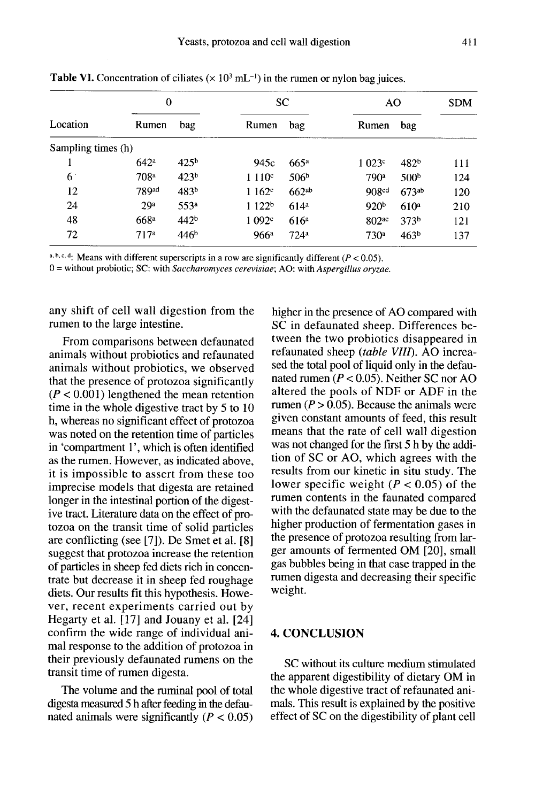|                    | $\mathbf{0}$     |                  |                   | <b>SC</b>         | AO                  |                  | <b>SDM</b> |
|--------------------|------------------|------------------|-------------------|-------------------|---------------------|------------------|------------|
| Location           | Rumen            | bag              | Rumen             | bag               | Rumen               | bag              |            |
| Sampling times (h) |                  |                  |                   |                   |                     |                  |            |
|                    | 642 <sup>a</sup> | 425 <sup>b</sup> | 945c              | 665a              | 1023c               | 482 <sup>b</sup> | 111        |
| $6^{\circ}$        | 708 <sup>a</sup> | 423 <sup>b</sup> | 1110c             | 506 <sup>b</sup>  | 790a                | 500 <sup>b</sup> | 124        |
| 12                 | 789ad            | 483 <sup>b</sup> | $1162^{\circ}$    | 662 <sup>ab</sup> | 908 <sup>cd</sup>   | 673ab            | 120        |
| 24                 | 29 <sup>a</sup>  | 553 <sup>a</sup> | 1122 <sup>b</sup> | 614 <sup>a</sup>  | 920 <sup>b</sup>    | 610 <sup>a</sup> | 210        |
| 48                 | 668 <sup>a</sup> | 442 <sup>b</sup> | 1092c             | 616 <sup>a</sup>  | $802$ <sup>ac</sup> | 373 <sup>b</sup> | 121        |
| 72                 | 717 <sup>a</sup> | 446 <sup>b</sup> | 966 <sup>a</sup>  | 724 <sup>a</sup>  | 730 <sup>a</sup>    | 463 <sup>b</sup> | 137        |

**Table VI.** Concentration of ciliates ( $\times$  10<sup>3</sup> mL<sup>-1</sup>) in the rumen or nylon bag juices.

a, b, c, d. Means with different superscripts in a row are significantly different ( $P < 0.05$ ).

 $0 =$  without probiotic; SC: with *Saccharomyces cerevisiae*; AO: with *Aspergillus oryzae.* 

any shift of cell wall digestion from the rumen to the large intestine.

From comparisons between defaunated animals without probiotics and refaunated animals without probiotics, we observed that the presence of protozoa significantly  $(P < 0.001)$  lengthened the mean retention time in the whole digestive tract by 5 to 10 h, whereas no significant effect of protozoa was noted on the retention time of particles in 'compartment 1', which is often identified as the rumen. However, as indicated above, it is impossible to assert from these too imprecise models that digesta are retained longer in the intestinal portion of the digestive tract. Literature data on the effect of pro-<br>tozoa on the transit time of solid particles are conflicting (see [7]). De Smet et al. [8] suggest that protozoa increase the retention of particles in sheep fed diets rich in concentrate but decrease it in sheep fed roughage diets. Our results fit this hypothesis. However, recent experiments carried out by Hegarty et al.  $\left[17\right]$  and Jouany et al.  $\left[24\right]$ confirm the wide range of individual animal response to the addition of protozoa in their previously defaunated rumens on the transit time of rumen digesta.

The volume and the ruminal pool of total digesta measured 5 h after feeding in the defaunated animals were significantly ( $P < 0.05$ )

higher in the presence of AO compared with SC in defaunated sheep. Differences between the two probiotics disappeared in refaunated sheep (table VIII). AO increased the total pool of liquid only in the defaunated rumen ( $P < 0.05$ ). Neither SC nor AO altered the pools of NDF or ADF in the rumen ( $P > 0.05$ ). Because the animals were given constant amounts of feed, this result means that the rate of cell wall digestion was not changed for the first 5 h by the addition of SC or AO, which agrees with the results from our kinetic in situ study. The lower specific weight ( $P < 0.05$ ) of the rumen contents in the faunated compared with the defaunated state may be due to the higher production of fermentation gases in the presence of protozoa resulting from larger amounts of fermented OM [20], small gas bubbles being in that case trapped in the rumen digesta and decreasing their specific weight.

# 4. CONCLUSION

SC without its culture medium stimulated the apparent digestibility of dietary OM in the whole digestive tract of refaunated animals. This result is explained by the positive effect of SC on the digestibility of plant cell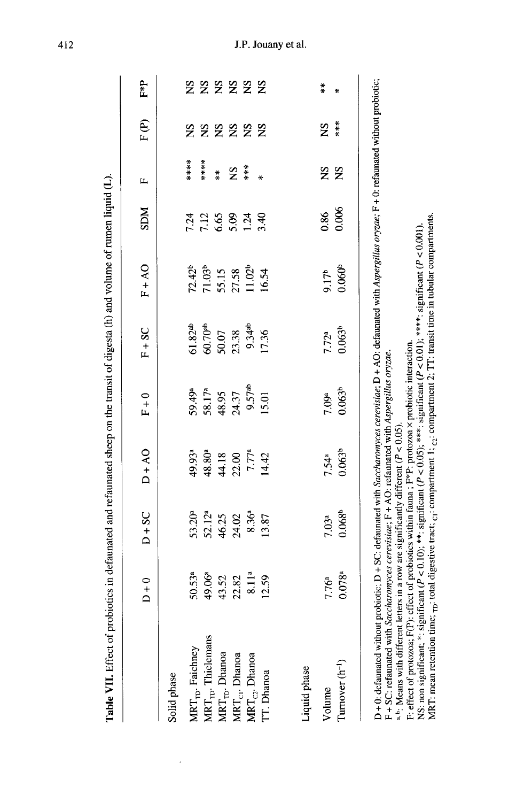|                                     | $D + 0$           | $D + SC$                 | $DA + O$                                                | $F + 0$                              | $F + SC$            | $FA + 50$                                                 | <b>NGS</b>                          | щ             | F(P)                 | F*P           |
|-------------------------------------|-------------------|--------------------------|---------------------------------------------------------|--------------------------------------|---------------------|-----------------------------------------------------------|-------------------------------------|---------------|----------------------|---------------|
| Solid phase                         |                   |                          |                                                         |                                      |                     |                                                           |                                     |               |                      |               |
| MRT <sub>rp</sub> . Faichney        | 50.53ª            | 53.20ª                   | 49.93ª                                                  | 59.49ª                               | $61.82^{ab}$        |                                                           |                                     | $***$         | 2N                   | $\mathbf{S}$  |
| $\text{MRT}_{\text{TD}}$ Thielemans | 49.06ª            |                          | 48.80 <sup>a</sup>                                      |                                      | 60.70 <sup>ab</sup> | $72.42^b$<br>$71.03^b$<br>$55.15$<br>$27.58$<br>$11.02^b$ | 7.24<br>7.12                        | *****         | $S_{\mathbf{X}}$     | $S_{\rm X}$   |
| MRT <sub>rp</sub> . Dhanoa          | 43.52             | 52.12ª<br>46.25<br>24.02 |                                                         | 58.17 <sup>a</sup><br>48.95<br>24.37 | 50.07               |                                                           | $6.8$<br>$0.34$<br>$0.34$<br>$0.34$ | $\frac{*}{*}$ | $\tilde{\mathbf{z}}$ | <b>2222</b>   |
| MRT <sub>CI</sub> . Dhanoa          | 22.82             |                          |                                                         |                                      | 23.38               |                                                           |                                     | Ž             | $\Sigma$             |               |
| $MRT_{C2}$ . Dhanoa                 | 8.11 <sup>a</sup> | 8.36ª                    | $\begin{array}{c} 44.18 \\ 22.00 \\ 7.77^a \end{array}$ | 9.57 <sup>ab</sup>                   | 9.34 <sup>ab</sup>  |                                                           |                                     |               | $\Sigma$             |               |
| IT. Dhanoa                          | 12.59             | 13.87                    | 14.42                                                   | 15.01                                | 17.36               | 16.54                                                     |                                     | ₩             | $\mathbf{S}$         |               |
| Liquid phase                        |                   |                          |                                                         |                                      |                     |                                                           |                                     |               |                      |               |
|                                     |                   |                          |                                                         |                                      |                     |                                                           | 0.86                                | $\mathbf{S}$  | ŠN                   | $\frac{*}{*}$ |
| Volume                              | 7.76 <sup>a</sup> | 7.03 <sup>a</sup>        | 7.54 <sup>a</sup>                                       | 7.09 <sup>a</sup>                    | 7.72 <sup>a</sup>   | 9.17 <sup>b</sup>                                         |                                     |               |                      |               |
| Turnover $(h^{-1})$                 | $0.078^{a}$       | $0.068^{b}$              | 0.063 <sup>b</sup>                                      | 0.063 <sup>b</sup>                   | $0.063^{b}$         | 0.060 <sup>b</sup>                                        | 0.006                               | $\mathbf{S}$  | ***                  |               |

F: effect of protozoa; F(P): effect of probiotics within faina; F\*P: protozoa × probiotic interaction.<br>NS: non significant; \*: significant (P < 0.10); \*\*: significant (P < 0.05); \*\*\*: significant (P < 0.01); \*\*\*\*: signifi

412

J.

### J.P. Jouany et al.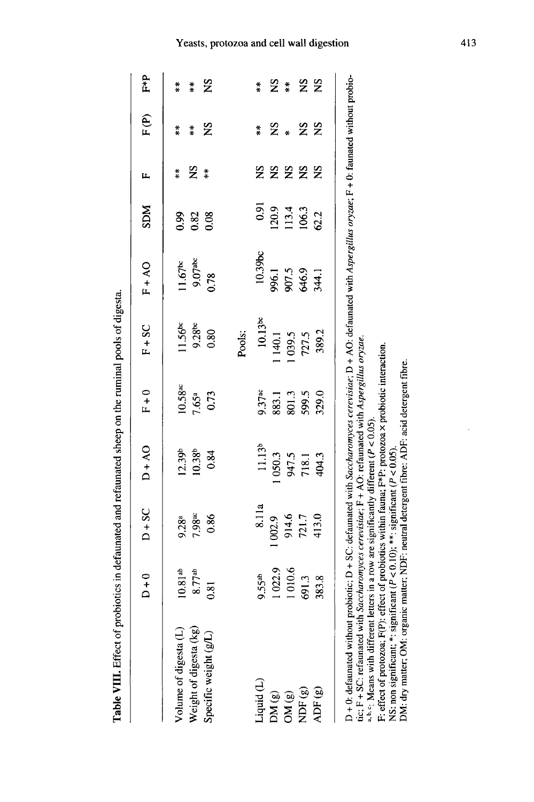| " we have the manner of the property of the property of the property of the property of the property of the property of the property of the property of the property of the property of the property of the property of the pr                                                                                                                                                                                                                                    |                   |                                                                                                                                                                                                                  |                    |                       |                     |                       |                |                      |               |               |
|-------------------------------------------------------------------------------------------------------------------------------------------------------------------------------------------------------------------------------------------------------------------------------------------------------------------------------------------------------------------------------------------------------------------------------------------------------------------|-------------------|------------------------------------------------------------------------------------------------------------------------------------------------------------------------------------------------------------------|--------------------|-----------------------|---------------------|-----------------------|----------------|----------------------|---------------|---------------|
|                                                                                                                                                                                                                                                                                                                                                                                                                                                                   | $D + 0$           | $D + SC$                                                                                                                                                                                                         | $DA + AO$          | $F + 0$               | $F + SC$            | $FA-AO$               | <b>NGS</b>     | д                    | $F(\epsilon)$ | ₽*P           |
| Volume of digesta (L)                                                                                                                                                                                                                                                                                                                                                                                                                                             | $10.81^{ab}$      | $9.28^{a}$                                                                                                                                                                                                       | 12.39 <sup>b</sup> | $10.58$ <sup>ac</sup> | 11.56 <sup>bc</sup> | $11.67$ <sup>bc</sup> | 0.99           | $\frac{*}{*}$        | $\ddot{*}$    | $\frac{*}{*}$ |
| Weight of digesta (kg)                                                                                                                                                                                                                                                                                                                                                                                                                                            | 8.77ab            | $7.98$ ac                                                                                                                                                                                                        | $10.38^{b}$        | 7.65a                 | 9.28 <sub>pc</sub>  | 9.07 <sup>abc</sup>   | 0.82           | SN                   | $\ddot{*}$    | $\ddot{*}$    |
| Specific weight (g/L)                                                                                                                                                                                                                                                                                                                                                                                                                                             | $\overline{0.81}$ | 0.86                                                                                                                                                                                                             | 0.84               | 0.73                  | 0.80                | 0.78                  | 0.08           | $\frac{*}{*}$        | ž             | SN            |
|                                                                                                                                                                                                                                                                                                                                                                                                                                                                   |                   |                                                                                                                                                                                                                  |                    |                       | Pools:              |                       |                |                      |               |               |
| Liquid (L)                                                                                                                                                                                                                                                                                                                                                                                                                                                        | 9.55ab            | 8.11a                                                                                                                                                                                                            | 11.13 <sup>b</sup> | $9.37$ <sup>ac</sup>  | $10.13$ bc          | $10.39$ bc            | 0.91           | SN                   | $\frac{*}{*}$ | $\frac{*}{*}$ |
| DM(g)                                                                                                                                                                                                                                                                                                                                                                                                                                                             | 1022.9            | 002.9                                                                                                                                                                                                            | 1050.3             | 883.1                 | 140.1               | 996.1                 | 120.9          | $\tilde{\mathbf{z}}$ | SN            | ž             |
| OM(g)                                                                                                                                                                                                                                                                                                                                                                                                                                                             | 1010.6            | 914.6                                                                                                                                                                                                            | 947.5              | 801.3                 | 1039.5              | 907.5                 |                | SN                   | $\ast$        | $\frac{*}{*}$ |
| NDF $(g)$                                                                                                                                                                                                                                                                                                                                                                                                                                                         | 691.3             | 721.7                                                                                                                                                                                                            | 718.1              | 599.5                 | 727.5               | 646.9                 | 113.4<br>106.3 | S                    | SN            | SN            |
| ADF(g)                                                                                                                                                                                                                                                                                                                                                                                                                                                            | 383.8             | 413.0                                                                                                                                                                                                            | 404.3              | 329.0                 | 389.2               | 344.1                 | 62.2           | $\mathbf{S}$         | SN            | $\Sigma$      |
| D + 0: defaunated without probiotic; D + SC: defaunated with Saccharomyces cerevisiae; D + AO: defaunated with Aspergillus oryzae; F + 0: faunated without probio-<br>DM: dry matter; OM: organic matter; NDF: neutral detergent fibre: ADF: acid detergent fibre.<br>NS: non significant; *: significant ( $P < 0.10$ ); **: significant ( $P < 0.05$ )<br>tic; $F + SC$ : refaunated with<br>a, b, c; Means with different le<br>F: effect of protozoa; F(P): e |                   | Saccharomyces cerevisiae; F + AO: refaunated with Aspergillus oryzae.<br>effect of probiotics within fauna; F*P: protozoa x probiotic interaction.<br>etters in a row are significantly different ( $P < 0.05$ ) |                    |                       |                     |                       |                |                      |               |               |

mminal pools of discosts Toble VIII Effect of probiotics in defaunated and refaunated sheep on the Yeasts, protozoa and cell wall digestion

413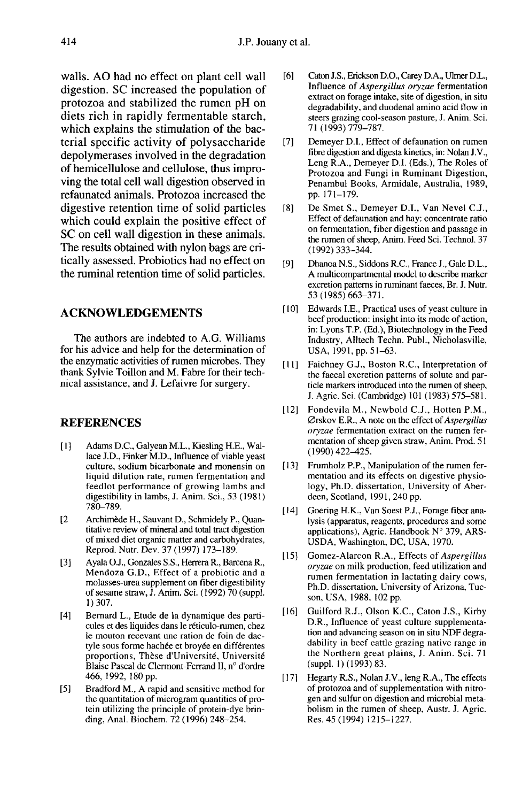walls. AO had no effect on plant cell wall digestion. SC increased the population of protozoa and stabilized the rumen pH on diets rich in rapidly fermentable starch, which explains the stimulation of the bacterial specific activity of polysaccharide depolymerases involved in the degradation of hemicellulose and cellulose, thus improving the total cell wall digestion observed in refaunated animals. Protozoa increased the digestive retention time of solid particles which could explain the positive effect of SC on cell wall digestion in these animals. The results obtained with nylon bags are critically assessed. Probiotics had no effect on the ruminal retention time of solid particles.

# ACKNOWLEDGEMENTS

The authors are indebted to A.G. Williams for his advice and help for the determination of the enzymatic activities of rumen microbes. They thank Sylvie Toillon and M. Fabre for their technical assistance, and J. Lefaivre for surgery.

### REFERENCES

- [1] Adams D.C., Galyean M.L., Kiesling H.E., Wallace J.D., Finker M.D., Influence of viable yeast culture, sodium bicarbonate and monensin on liquid dilution rate, rumen fermentation and feedlot performance of growing lambs and digestibility in lambs, J. Anim. Sci., 53 (1981) 780-789.
- [2 Archimède H., Sauvant D., Schmidely P., Quantitative review of mineral and total tract digestion of mixed diet organic matter and carbohydrates, Reprod. Nutr. Dev. 37 (1997) 173-189.
- [3] Ayala O.J., Gonzales S.S., Herrera R., Barcena R., Mendoza G.D., Effect of a probiotic and a molasses-urea supplement on fiber digestibility of sesame straw, J. Anim. Sci. (1992) 70 (suppl. 1) 307.
- [4] Bernard L., Etude de la dynamique des parti cules et des liquides dans le réticulo-rumen, chez le mouton recevant une ration de foin de dactyle sous forme hachée et broyée en différentes proportions, Thèse d'Université, Université Blaise Pascal de Clermont-Ferrand II, n° d'ordre 466, 1992, 180 pp.
- [5] Bradford M., A rapid and sensitive method for the quantitation of microgram quantities of pro tein utilizing the principle of protein-dye brinding, Anal. Biochem. 72 (1996) 248-254.
- [6] Caton J.S., Erickson D.O., Carey D.A., Ulmer D.L., Influence of Aspergillus oryzae fermentation extract on forage intake, site of digestion, in situ degradability, and duodenal amino acid flow in steers grazing cool-season pasture, J. Anim. Sci. 71 (1993) 779-787.
- [7] Demeyer D.I., Effect of defaunation on rumen fibre digestion and digesta kinetics, in: Nolan J.V., Leng R.A., Demeyer D.I. (Eds.), The Roles of Protozoa and Fungi in Ruminant Digestion, Penambul Books, Armidale, Australia, 1989, Demeyer D.1<br>fibre digestion<br>Leng R.A., I<br>Protozoa an<br>Penambul B<br>pp. 171–179.<br>De Smet S., p.171-179.
- [8] De Smet S., Demeyer D.I., Van Nevel C.J., Effect of defaunation and hay: concentrate ratio on fermentation, fiber digestion and passage in the rumen of sheep, Anim. Feed Sci. Technol. 37 (1992) 333-344.
- [9] Dhanoa N.S., Siddons R.C., France J., Gale D.L., A multicompartmental model to describe marker excretion patterns in ruminant faeces, Br. J. Nutr. 53 (1985) 663-371.
- [10] Edwards I.E., Practical uses of yeast culture in beef production: insight into its mode of action, in: Lyons T.P. (Ed.), Biotechnology in the Feed Industry, Alltech Techn. Publ., Nicholasville, USA, 1991, pp. 51-63.
- [11] Faichney G.J., Boston R.C., Interpretation of the faecal excretion patterns of solute and par ticle markers introduced into the rumen of sheep, J. Agric. Sci. (Cambridge) 101 (1983) 575-581.
- [12] Fondevila M., Newbold C.J., Hotten P.M.,  $Ø$ rskov E.R., A note on the effect of Aspergillus oryzae fermentation extract on the rumen fermentation of sheep given straw, Anim. Prod. 51  $(1990)$  422-425.
- ( 13] Frumholz P.P., Manipulation of the rumen fermentation and its effects on digestive physiology, Ph.D. dissertation, University of Aberdeen, Scotland, 1991, 240 pp.
- [ l4] Goering H.K., Van Soest P.J., Forage fiber analysis (apparatus, reagents, procedures and some applications), Agric. Handbook N° 379, ARS-USDA, Washington, DC, USA, 1970.
- [15] Gomez-Alarcon R.A., Effects of Aspergillus oryzae on milk production, feed utilization and rumen fermentation in lactating dairy cows, Ph.D. dissertation, University of Arizona, Tucson, USA, 1988, 102 pp.
- [16] Guilford R.J., Olson K.C., Caton J.S., Kirby D.R., Influence of yeast culture supplementation and advancing season on in situ NDF degradability in beef cattle grazing native range in the Northern great plains, J. Anim. Sci. 71 (suppl. 1) (1993) 83.
- [17] Hegarty R.S., Nolan J.V., leng R.A., The effects of protozoa and of supplementation with nitrogen and sulfur on digestion and microbial metabolism in the rumen of sheep, Austr. J. Agric. Res. 45 (1994) 1215-1227.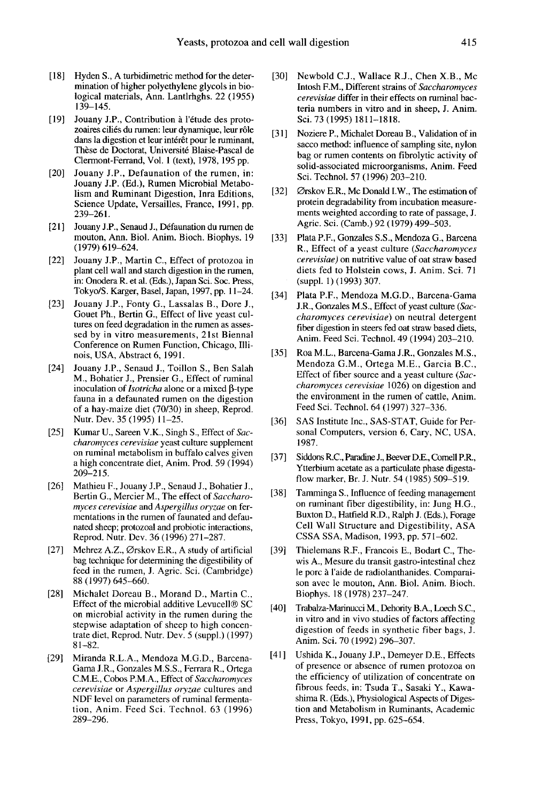- [18] Hyden S., A turbidimetric method for the determination of higher polyethylene glycols in biological materials, Ann. Lantlrhghs. 22 (1955) 139-145.
- [19] Jouany J.P., Contribution a l'étude des protozoaires ciliés du rumen: leur dynamique, leur rôle dans la digestion et leur intérêt pour le ruminant, These de Doctorat, Université Blaise-Pascal de Clermont-Ferrand, Vol. 1 (text), 1978, 195 pp.
- [20] Jouany J.P., Defaunation of the rumen, in: Jouany J.P. (Ed.), Rumen Microbial Metabolism and Ruminant Digestion, Inra Editions, Science Update, Versailles, France, 1991, pp. 239-261.
- [21 Jouany J.P., Senaud J., Defaunation du rumen de mouton, Ann. Biol. Anim. Bioch. Biophys. 19 (1979) 619-624.
- [22] Jouany J.P., Martin C., Effect of protozoa in plant cell wall and starch digestion in the rumen, in: Onodera R. et al. (Eds.), Japan Sci. Soc. Press, Tokyo/S. Karger, Basel, Japan, 1997, pp. 11-24.
- [23] Jouany J.P., Fonty G., Lassalas B., Dore J., Gouet Ph., Bertin G., Effect of live yeast cultures on feed degradation in the rumen as assessed by in vitro measurements, 21st Biennal Conference on Rumen Function, Chicago, Illinois, USA, Abstract 6, 1991.
- [24] Jouany J.P., Senaud J., Toillon S., Ben Salah M., Bohatier J., Prensier G., Effect of ruminal inoculation of *Isotricha* alone or a mixed  $\beta$ -type fauna in a defaunated rumen on the digestion of a hay-maize diet (70/30) in sheep, Reprod. Nutr. Dev. 35 (1995) 11-25.
- [25] Kumar U., Sareen V.K., Singh S., Effect of Saccharomyces cerevisiae yeast culture supplement on ruminal metabolism in buffalo calves given a high concentrate diet, Anim. Prod. 59 (1994) 209-215.
- [26] Mathieu F., Jouany J.P., Senaud J., Bohatier J., Bertin G., Mercier M., The effect of Saccharomyces cerevisiae and Aspergillus oryzae on fermentations in the rumen of faunated and defaunated sheep; protozoal and probiotic interactions, Reprod. Nutr. Dev. 36 (1996) 271-287.
- [27] Mehrez A.Z., Ørskov E.R., A study of artificial bag technique for determining the digestibility of feed in the rumen, J. Agric. Sci. (Cambridge) 88 (1997) 645-660.
- [28] Michalet Doreau B., Morand D., Martin C., Effect of the microbial additive Levucell $\circledast$  SC on microbial activity in the rumen during the stepwise adaptation of sheep to high concentrate diet, Reprod. Nutr. Dev. 5 (suppl.) (1997) 81-82.
- [29] Miranda R.L.A., Mendoza M.G.D., Barcena-Gama J.R., Gonzales M.S.S., Ferrara R., Ortega C.M.E., Cobos P.M.A., Effect of Saccharomyces cerevisiae or Aspergillus oryzae cultures and NDF level on parameters of ruminal fermentation, Anim. Feed Sci. Technol. 63 (1996) 289-296.
- [30] Newbold C.J., Wallace R.J., Chen X.B., Mc Intosh F.M., Different strains of Saccharomyces cerevisiae differ in their effects on ruminal bacteria numbers in vitro and in sheep, J. Anim. Sci. 73 (1995) 1811-1818.
- [31] Noziere P., Michalet Doreau B., Validation of in sacco method: influence of sampling site, nylon bag or rumen contents on fibrolytic activity of solid-associated microorganisms, Anim. Feed Sci. Technol. 57 (1996) 203-210.
- [32] Ørskov E.R., Mc Donald I.W., The estimation of protein degradability from incubation measurements weighted according to rate of passage, J. Agric. Sci. (Camb.) 92 (1979) 499-503.
- [33] Plata P.F., Gonzales S.S., Mendoza G., Barcena R., Effect of a yeast culture (Saccharomyces cerevisiae) on nutritive value of oat straw based diets fed to Holstein cows, J. Anim. Sci. 71 (suppl. 1) (1993) 307.
- [34] Plata P.F., Mendoza M.G.D., Barcena-Gama J.R., Gonzales M.S., Effect of yeast culture (Saccharomyces cerevisiae) on neutral detergent fiber digestion in steers fed oat straw based diets, Anim. Feed Sci. Technol. 49 (1994) 203-210.
- [35] Roa M.L., Barcena-Gama J.R., Gonzales M.S., Mendoza G.M., Ortega M.E., Garcia B.C., Effect of fiber source and a yeast culture (Saccharomyces cerevisiae 1026) on digestion and the environment in the rumen of cattle, Anim. Feed Sci. Technol. 64 (1997) 327-336.
- [36] SAS Institute Inc., SAS-STAT, Guide for Personal Computers, version 6, Cary, NC, USA, 1987.
- [37] Siddons R.C., Paradine J., Beever D.E., Comell P.R., Ytterbium acetate as a particulate phase digesta flow marker, Br. J. Nutr. 54 (1985) 509-519.
- [38] Tamminga S., Influence of feeding management on ruminant fiber digestibility, in: Jung H.G., Cell Wall Structure and Digestibility, ASA CSSA SSA, Madison, 1993, pp. 571-602.
- [39] Thielemans R.F., Francois E., Bodart C., Thewis A., Mesure du transit gastro-intestinal chez le porc à l'aide de radiolanthanides. Comparaison avec le mouton, Ann. Biol. Anim. Bioch. Biophys. 18 (1978) 237-247.
- [40] Trabalza-Marinucci M., Dehority B.A., Loech S.C., in vitro and in vivo studies of factors affecting digestion of feeds in synthetic fiber bags, J. Anim. Sci. 70 (1992) 296-307.
- [41] Ushida K., Jouany J.P., Demeyer D.E., Effects of presence or absence of rumen protozoa on the efficiency of utilization of concentrate on fibrous feeds, in: Tsuda T., Sasaki Y., Kawashima R. (Eds.), Physiological Aspects of Digestion and Metabolism in Ruminants, Academic Press, Tokyo, 1991, pp. 625-654.